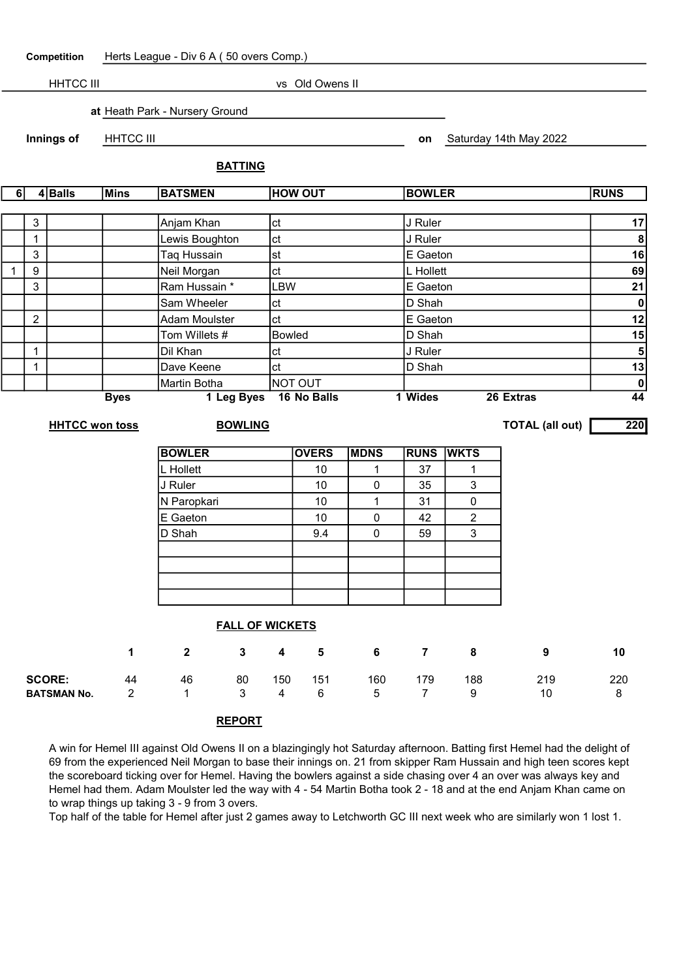|              |                | Competition           |                  | Herts League - Div 6 A (50 overs Comp.) |            |                        |              |                |                |                        |                                            |
|--------------|----------------|-----------------------|------------------|-----------------------------------------|------------|------------------------|--------------|----------------|----------------|------------------------|--------------------------------------------|
|              |                | <b>HHTCC III</b>      |                  |                                         |            | vs Old Owens II        |              |                |                |                        |                                            |
|              |                |                       |                  |                                         |            |                        |              |                |                |                        |                                            |
|              |                |                       |                  | at Heath Park - Nursery Ground          |            |                        |              |                |                |                        |                                            |
|              |                | Innings of            | <b>HHTCC III</b> |                                         |            |                        |              | on             |                | Saturday 14th May 2022 |                                            |
|              |                |                       |                  |                                         |            |                        |              |                |                |                        |                                            |
|              |                |                       |                  | <b>BATTING</b>                          |            |                        |              |                |                |                        |                                            |
| 6            |                | $4 $ Balls            | Mins             | <b>BATSMEN</b>                          |            | <b>HOW OUT</b>         |              | <b>BOWLER</b>  |                |                        | <b>RUNS</b>                                |
|              |                |                       |                  |                                         |            |                        |              |                |                |                        |                                            |
|              | 3              |                       |                  | Anjam Khan                              | ct         |                        |              | J Ruler        |                |                        | 17                                         |
|              | $\mathbf 1$    |                       |                  | Lewis Boughton                          | ct         |                        |              | J Ruler        |                |                        | 8                                          |
|              | 3              |                       |                  | Taq Hussain                             | st         |                        |              | E Gaeton       |                |                        | 16                                         |
| $\mathbf{1}$ | 9              |                       |                  | Neil Morgan                             | ct         |                        |              | L Hollett      |                |                        | 69                                         |
|              | $\mathbf{3}$   |                       |                  | Ram Hussain *                           | <b>LBW</b> |                        |              | E Gaeton       |                |                        | 21                                         |
|              |                |                       |                  | Sam Wheeler                             | ct         |                        |              | D Shah         |                |                        | $\pmb{0}$                                  |
|              | $\overline{2}$ |                       |                  | <b>Adam Moulster</b>                    | ct         |                        |              | E Gaeton       |                |                        | 12                                         |
|              |                |                       |                  | Tom Willets #                           |            | <b>Bowled</b>          |              | D Shah         |                |                        | 15                                         |
|              | $\mathbf{1}$   |                       |                  | Dil Khan                                | ct         |                        |              | J Ruler        |                |                        | 5 <sup>1</sup>                             |
|              | $\mathbf 1$    |                       |                  | Dave Keene                              | ct         |                        |              | D Shah         |                |                        | 13                                         |
|              |                |                       | <b>Byes</b>      | Martin Botha<br>1 Leg Byes              |            | NOT OUT<br>16 No Balls |              | 1 Wides        |                | 26 Extras              | $\overline{\mathbf{0}}$<br>$\overline{44}$ |
|              |                |                       |                  |                                         |            |                        |              |                |                |                        |                                            |
|              |                | <b>HHTCC won toss</b> |                  | <b>BOWLING</b>                          |            |                        |              |                |                | <b>TOTAL (all out)</b> | 220                                        |
|              |                |                       |                  | <b>BOWLER</b>                           |            | <b>OVERS</b>           | <b>MDNS</b>  | <b>RUNS</b>    | <b>WKTS</b>    |                        |                                            |
|              |                |                       |                  | L Hollett                               |            | 10                     | 1            | 37             | $\mathbf{1}$   |                        |                                            |
|              |                |                       |                  | J Ruler                                 |            | 10                     | 0            | 35             | 3              |                        |                                            |
|              |                |                       |                  | N Paropkari                             |            | 10                     | $\mathbf{1}$ | 31             | $\pmb{0}$      |                        |                                            |
|              |                |                       |                  | E Gaeton                                |            | 10                     | 0            | 42             | $\overline{2}$ |                        |                                            |
|              |                |                       |                  | D Shah                                  |            | 9.4                    | 0            | 59             | 3              |                        |                                            |
|              |                |                       |                  |                                         |            |                        |              |                |                |                        |                                            |
|              |                |                       |                  |                                         |            |                        |              |                |                |                        |                                            |
|              |                |                       |                  |                                         |            |                        |              |                |                |                        |                                            |
|              |                |                       |                  |                                         |            |                        |              |                |                |                        |                                            |
|              |                |                       |                  | <b>FALL OF WICKETS</b>                  |            |                        |              |                |                |                        |                                            |
|              |                |                       | $\mathbf 1$      | $\mathbf{2}$<br>$\mathbf{3}$            | 4          | 5                      | 6            | 7 <sup>7</sup> | 8              | 9                      | 10                                         |

| <b>SCORE:</b> 44 46<br>150 151<br>160<br>179<br>80<br>219<br>188<br><b>BATSMAN No.</b> 2 1 3 4 6 5 7 9 10 8 |  |  |  |  |  |     |
|-------------------------------------------------------------------------------------------------------------|--|--|--|--|--|-----|
|                                                                                                             |  |  |  |  |  | 220 |
|                                                                                                             |  |  |  |  |  |     |

## REPORT

A win for Hemel III against Old Owens II on a blazingingly hot Saturday afternoon. Batting first Hemel had the delight of 69 from the experienced Neil Morgan to base their innings on. 21 from skipper Ram Hussain and high teen scores kept the scoreboard ticking over for Hemel. Having the bowlers against a side chasing over 4 an over was always key and Hemel had them. Adam Moulster led the way with 4 - 54 Martin Botha took 2 - 18 and at the end Anjam Khan came on to wrap things up taking 3 - 9 from 3 overs.

Top half of the table for Hemel after just 2 games away to Letchworth GC III next week who are similarly won 1 lost 1.